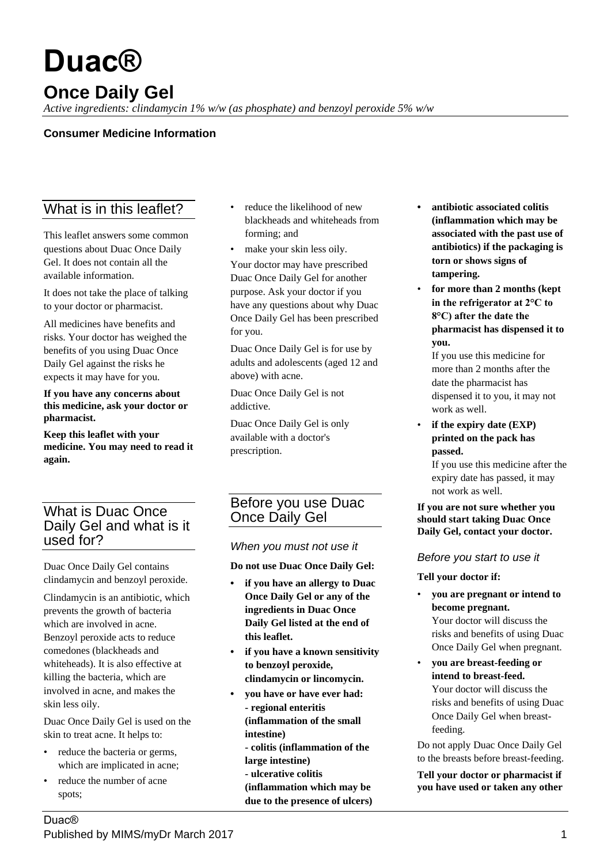# **Duac®**

## **Once Daily Gel**

*Active ingredients: clindamycin 1% w/w (as phosphate) and benzoyl peroxide 5% w/w*

### **Consumer Medicine Information**

## What is in this leaflet?

This leaflet answers some common questions about Duac Once Daily Gel. It does not contain all the available information.

It does not take the place of talking to your doctor or pharmacist.

All medicines have benefits and risks. Your doctor has weighed the benefits of you using Duac Once Daily Gel against the risks he expects it may have for you.

#### **If you have any concerns about this medicine, ask your doctor or pharmacist.**

**Keep this leaflet with your medicine. You may need to read it again.**

## What is Duac Once Daily Gel and what is it used for?

Duac Once Daily Gel contains clindamycin and benzoyl peroxide.

Clindamycin is an antibiotic, which prevents the growth of bacteria which are involved in acne. Benzoyl peroxide acts to reduce comedones (blackheads and whiteheads). It is also effective at killing the bacteria, which are involved in acne, and makes the skin less oily.

Duac Once Daily Gel is used on the skin to treat acne. It helps to:

- reduce the bacteria or germs, which are implicated in acne;
- reduce the number of acne spots;
- reduce the likelihood of new blackheads and whiteheads from forming; and
- make your skin less oily.

Your doctor may have prescribed Duac Once Daily Gel for another purpose. Ask your doctor if you have any questions about why Duac Once Daily Gel has been prescribed for you.

Duac Once Daily Gel is for use by adults and adolescents (aged 12 and above) with acne.

Duac Once Daily Gel is not addictive.

Duac Once Daily Gel is only available with a doctor's prescription.

## Before you use Duac Once Daily Gel

#### *When you must not use it*

**Do not use Duac Once Daily Gel:**

- **• if you have an allergy to Duac Once Daily Gel or any of the ingredients in Duac Once Daily Gel listed at the end of this leaflet.**
- **• if you have a known sensitivity to benzoyl peroxide, clindamycin or lincomycin.**
- **• you have or have ever had: - regional enteritis (inflammation of the small intestine)**
	- **colitis (inflammation of the large intestine)**
	- **ulcerative colitis**

**(inflammation which may be due to the presence of ulcers)**

- **• antibiotic associated colitis (inflammation which may be associated with the past use of antibiotics) if the packaging is torn or shows signs of tampering.**
- **for more than 2 months (kept in the refrigerator at 2°C to 8°C) after the date the pharmacist has dispensed it to you.**

If you use this medicine for more than 2 months after the date the pharmacist has dispensed it to you, it may not work as well.

• **if the expiry date (EXP) printed on the pack has passed.**

If you use this medicine after the expiry date has passed, it may not work as well.

#### **If you are not sure whether you should start taking Duac Once Daily Gel, contact your doctor.**

#### *Before you start to use it*

#### **Tell your doctor if:**

- **you are pregnant or intend to become pregnant.** Your doctor will discuss the risks and benefits of using Duac Once Daily Gel when pregnant.
- **you are breast-feeding or intend to breast-feed.** Your doctor will discuss the risks and benefits of using Duac Once Daily Gel when breastfeeding.

Do not apply Duac Once Daily Gel to the breasts before breast-feeding.

**Tell your doctor or pharmacist if you have used or taken any other**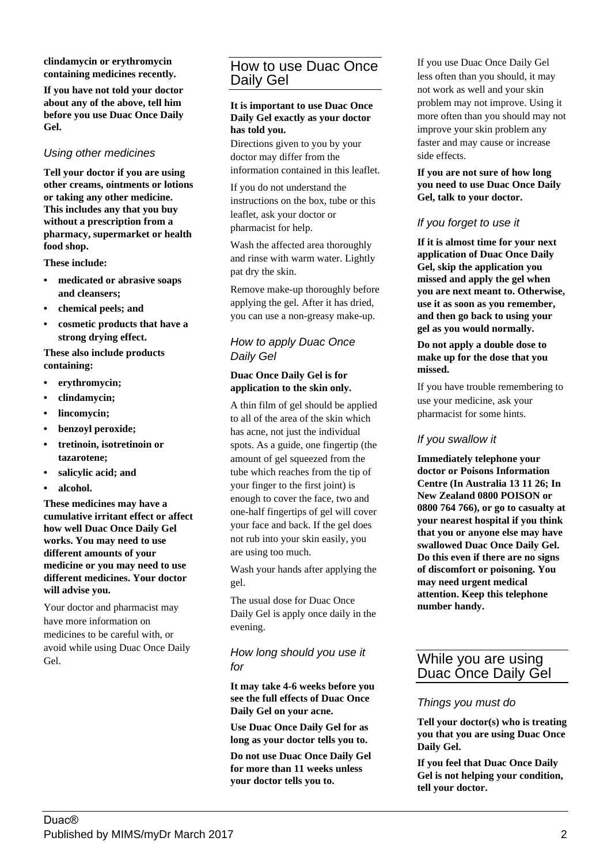**clindamycin or erythromycin containing medicines recently.**

**If you have not told your doctor about any of the above, tell him before you use Duac Once Daily Gel.**

#### *Using other medicines*

**Tell your doctor if you are using other creams, ointments or lotions or taking any other medicine. This includes any that you buy without a prescription from a pharmacy, supermarket or health food shop.**

**These include:**

- **• medicated or abrasive soaps and cleansers;**
- **• chemical peels; and**
- **• cosmetic products that have a strong drying effect.**

**These also include products containing:**

- **• erythromycin;**
- **• clindamycin;**
- **• lincomycin;**
- **• benzoyl peroxide;**
- **• tretinoin, isotretinoin or tazarotene;**
- **• salicylic acid; and**
- **• alcohol.**

**These medicines may have a cumulative irritant effect or affect how well Duac Once Daily Gel works. You may need to use different amounts of your medicine or you may need to use different medicines. Your doctor will advise you.**

Your doctor and pharmacist may have more information on medicines to be careful with, or avoid while using Duac Once Daily Gel.

## How to use Duac Once Daily Gel

#### **It is important to use Duac Once Daily Gel exactly as your doctor has told you.**

Directions given to you by your doctor may differ from the information contained in this leaflet.

If you do not understand the instructions on the box, tube or this leaflet, ask your doctor or pharmacist for help.

Wash the affected area thoroughly and rinse with warm water. Lightly pat dry the skin.

Remove make-up thoroughly before applying the gel. After it has dried, you can use a non-greasy make-up.

#### *How to apply Duac Once Daily Gel*

#### **Duac Once Daily Gel is for application to the skin only.**

A thin film of gel should be applied to all of the area of the skin which has acne, not just the individual spots. As a guide, one fingertip (the amount of gel squeezed from the tube which reaches from the tip of your finger to the first joint) is enough to cover the face, two and one-half fingertips of gel will cover your face and back. If the gel does not rub into your skin easily, you are using too much.

Wash your hands after applying the gel.

The usual dose for Duac Once Daily Gel is apply once daily in the evening.

#### *How long should you use it for*

**It may take 4-6 weeks before you see the full effects of Duac Once Daily Gel on your acne.**

**Use Duac Once Daily Gel for as long as your doctor tells you to.**

**Do not use Duac Once Daily Gel for more than 11 weeks unless your doctor tells you to.**

If you use Duac Once Daily Gel less often than you should, it may not work as well and your skin problem may not improve. Using it more often than you should may not improve your skin problem any faster and may cause or increase side effects.

**If you are not sure of how long you need to use Duac Once Daily Gel, talk to your doctor.**

#### *If you forget to use it*

**If it is almost time for your next application of Duac Once Daily Gel, skip the application you missed and apply the gel when you are next meant to. Otherwise, use it as soon as you remember, and then go back to using your gel as you would normally.**

#### **Do not apply a double dose to make up for the dose that you missed.**

If you have trouble remembering to use your medicine, ask your pharmacist for some hints.

#### *If you swallow it*

**Immediately telephone your doctor or Poisons Information Centre (In Australia 13 11 26; In New Zealand 0800 POISON or 0800 764 766), or go to casualty at your nearest hospital if you think that you or anyone else may have swallowed Duac Once Daily Gel. Do this even if there are no signs of discomfort or poisoning. You may need urgent medical attention. Keep this telephone number handy.**

## While you are using Duac Once Daily Gel

#### *Things you must do*

**Tell your doctor(s) who is treating you that you are using Duac Once Daily Gel.**

**If you feel that Duac Once Daily Gel is not helping your condition, tell your doctor.**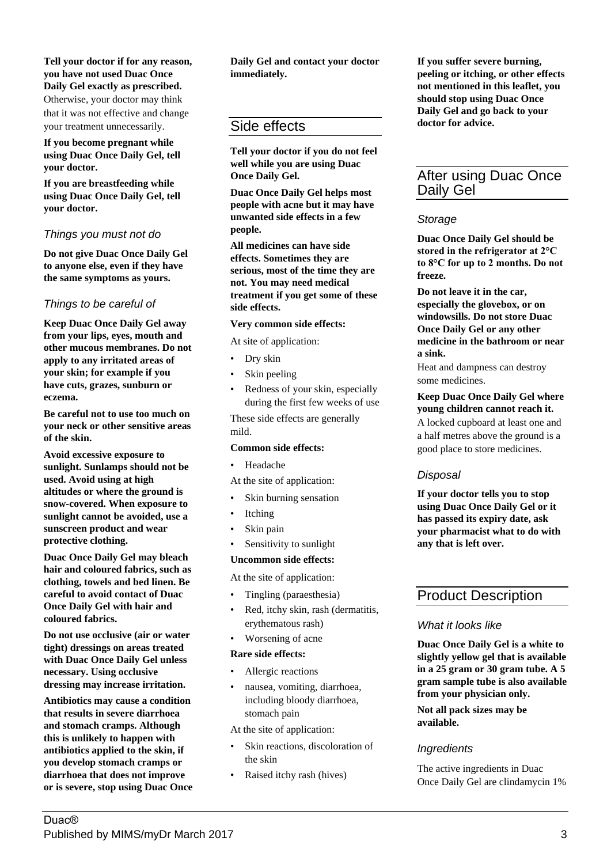#### **Tell your doctor if for any reason, you have not used Duac Once Daily Gel exactly as prescribed.** Otherwise, your doctor may think that it was not effective and change your treatment unnecessarily.

**If you become pregnant while using Duac Once Daily Gel, tell your doctor.**

**If you are breastfeeding while using Duac Once Daily Gel, tell your doctor.**

#### *Things you must not do*

**Do not give Duac Once Daily Gel to anyone else, even if they have the same symptoms as yours.**

#### *Things to be careful of*

**Keep Duac Once Daily Gel away from your lips, eyes, mouth and other mucous membranes. Do not apply to any irritated areas of your skin; for example if you have cuts, grazes, sunburn or eczema.**

**Be careful not to use too much on your neck or other sensitive areas of the skin.**

**Avoid excessive exposure to sunlight. Sunlamps should not be used. Avoid using at high altitudes or where the ground is snow-covered. When exposure to sunlight cannot be avoided, use a sunscreen product and wear protective clothing.**

**Duac Once Daily Gel may bleach hair and coloured fabrics, such as clothing, towels and bed linen. Be careful to avoid contact of Duac Once Daily Gel with hair and coloured fabrics.**

**Do not use occlusive (air or water tight) dressings on areas treated with Duac Once Daily Gel unless necessary. Using occlusive dressing may increase irritation.**

**Antibiotics may cause a condition that results in severe diarrhoea and stomach cramps. Although this is unlikely to happen with antibiotics applied to the skin, if you develop stomach cramps or diarrhoea that does not improve or is severe, stop using Duac Once** **Daily Gel and contact your doctor immediately.**

## Side effects

**Tell your doctor if you do not feel well while you are using Duac Once Daily Gel.**

**Duac Once Daily Gel helps most people with acne but it may have unwanted side effects in a few people.**

**All medicines can have side effects. Sometimes they are serious, most of the time they are not. You may need medical treatment if you get some of these side effects.**

#### **Very common side effects:**

At site of application:

- Dry skin
- Skin peeling
- Redness of your skin, especially during the first few weeks of use

These side effects are generally mild.

#### **Common side effects:**

• Headache

- At the site of application:
- Skin burning sensation
- Itching
- Skin pain
- Sensitivity to sunlight

#### **Uncommon side effects:**

At the site of application:

- Tingling (paraesthesia)
- Red, itchy skin, rash (dermatitis, erythematous rash)
- Worsening of acne

#### **Rare side effects:**

- Allergic reactions
- nausea, vomiting, diarrhoea, including bloody diarrhoea, stomach pain

At the site of application:

- Skin reactions, discoloration of the skin
- Raised itchy rash (hives)

**If you suffer severe burning, peeling or itching, or other effects not mentioned in this leaflet, you should stop using Duac Once Daily Gel and go back to your doctor for advice.**

## After using Duac Once Daily Gel

#### *Storage*

**Duac Once Daily Gel should be stored in the refrigerator at 2°C to 8°C for up to 2 months. Do not freeze.**

**Do not leave it in the car, especially the glovebox, or on windowsills. Do not store Duac Once Daily Gel or any other medicine in the bathroom or near a sink.**

Heat and dampness can destroy some medicines.

#### **Keep Duac Once Daily Gel where young children cannot reach it.**

A locked cupboard at least one and a half metres above the ground is a good place to store medicines.

#### *Disposal*

**If your doctor tells you to stop using Duac Once Daily Gel or it has passed its expiry date, ask your pharmacist what to do with any that is left over.**

## Product Description

#### *What it looks like*

**Duac Once Daily Gel is a white to slightly yellow gel that is available in a 25 gram or 30 gram tube. A 5 gram sample tube is also available from your physician only.**

**Not all pack sizes may be available.**

#### *Ingredients*

The active ingredients in Duac Once Daily Gel are clindamycin 1%